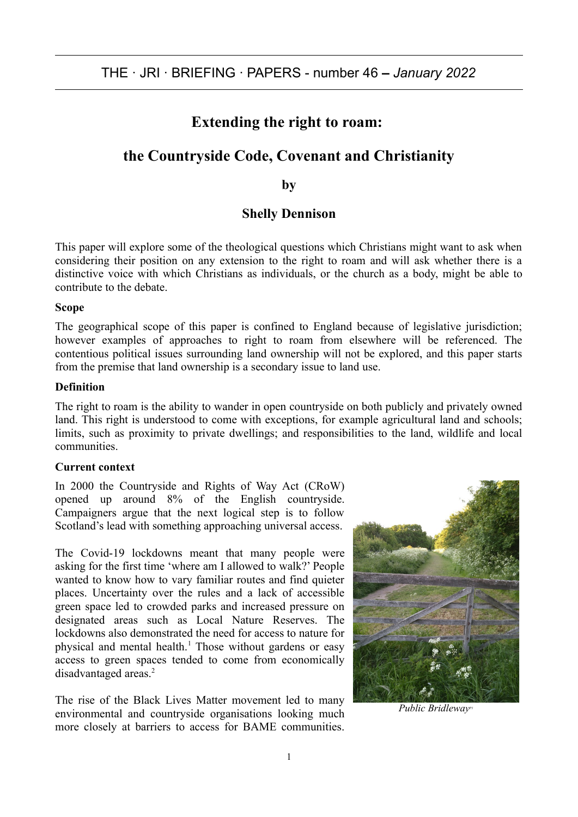# **Extending the right to roam:**

# **the Countryside Code, Covenant and Christianity**

**by**

# **Shelly Dennison**

This paper will explore some of the theological questions which Christians might want to ask when considering their position on any extension to the right to roam and will ask whether there is a distinctive voice with which Christians as individuals, or the church as a body, might be able to contribute to the debate.

#### **Scope**

The geographical scope of this paper is confined to England because of legislative jurisdiction; however examples of approaches to right to roam from elsewhere will be referenced. The contentious political issues surrounding land ownership will not be explored, and this paper starts from the premise that land ownership is a secondary issue to land use.

#### **Definition**

The right to roam is the ability to wander in open countryside on both publicly and privately owned land. This right is understood to come with exceptions, for example agricultural land and schools; limits, such as proximity to private dwellings; and responsibilities to the land, wildlife and local communities.

#### **Current context**

In 2000 the Countryside and Rights of Way Act (CRoW) opened up around 8% of the English countryside. Campaigners argue that the next logical step is to follow Scotland's lead with something approaching universal access.

The Covid-19 lockdowns meant that many people were asking for the first time 'where am I allowed to walk?' People wanted to know how to vary familiar routes and find quieter places. Uncertainty over the rules and a lack of accessible green space led to crowded parks and increased pressure on designated areas such as Local Nature Reserves. The lockdowns also demonstrated the need for access to nature for physical and mental health.<sup>1</sup> Those without gardens or easy access to green spaces tended to come from economically disadvantaged areas.<sup>2</sup>

The rise of the Black Lives Matter movement led to many environmental and countryside organisations looking much more closely at barriers to access for BAME communities.



*Public Bridleway P1*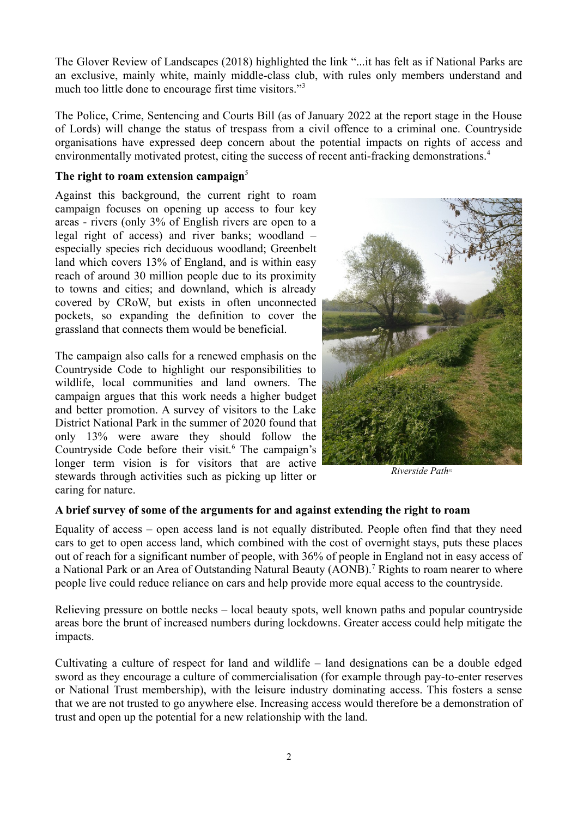The Glover Review of Landscapes (2018) highlighted the link "...it has felt as if National Parks are an exclusive, mainly white, mainly middle-class club, with rules only members understand and much too little done to encourage first time visitors."<sup>3</sup>

The Police, Crime, Sentencing and Courts Bill (as of January 2022 at the report stage in the House of Lords) will change the status of trespass from a civil offence to a criminal one. Countryside organisations have expressed deep concern about the potential impacts on rights of access and environmentally motivated protest, citing the success of recent anti-fracking demonstrations.<sup>4</sup>

#### **The right to roam extension campaign**<sup>5</sup>

Against this background, the current right to roam campaign focuses on opening up access to four key areas - rivers (only 3% of English rivers are open to a legal right of access) and river banks; woodland – especially species rich deciduous woodland; Greenbelt land which covers 13% of England, and is within easy reach of around 30 million people due to its proximity to towns and cities; and downland, which is already covered by CRoW, but exists in often unconnected pockets, so expanding the definition to cover the grassland that connects them would be beneficial.

The campaign also calls for a renewed emphasis on the Countryside Code to highlight our responsibilities to wildlife, local communities and land owners. The campaign argues that this work needs a higher budget and better promotion. A survey of visitors to the Lake District National Park in the summer of 2020 found that only 13% were aware they should follow the Countryside Code before their visit.<sup>6</sup> The campaign's longer term vision is for visitors that are active stewards through activities such as picking up litter or caring for nature.



*Riverside PathP2*

## **A brief survey of some of the arguments for and against extending the right to roam**

Equality of access – open access land is not equally distributed. People often find that they need cars to get to open access land, which combined with the cost of overnight stays, puts these places out of reach for a significant number of people, with 36% of people in England not in easy access of a National Park or an Area of Outstanding Natural Beauty (AONB).<sup>7</sup> Rights to roam nearer to where people live could reduce reliance on cars and help provide more equal access to the countryside.

Relieving pressure on bottle necks – local beauty spots, well known paths and popular countryside areas bore the brunt of increased numbers during lockdowns. Greater access could help mitigate the impacts.

Cultivating a culture of respect for land and wildlife – land designations can be a double edged sword as they encourage a culture of commercialisation (for example through pay-to-enter reserves or National Trust membership), with the leisure industry dominating access. This fosters a sense that we are not trusted to go anywhere else. Increasing access would therefore be a demonstration of trust and open up the potential for a new relationship with the land.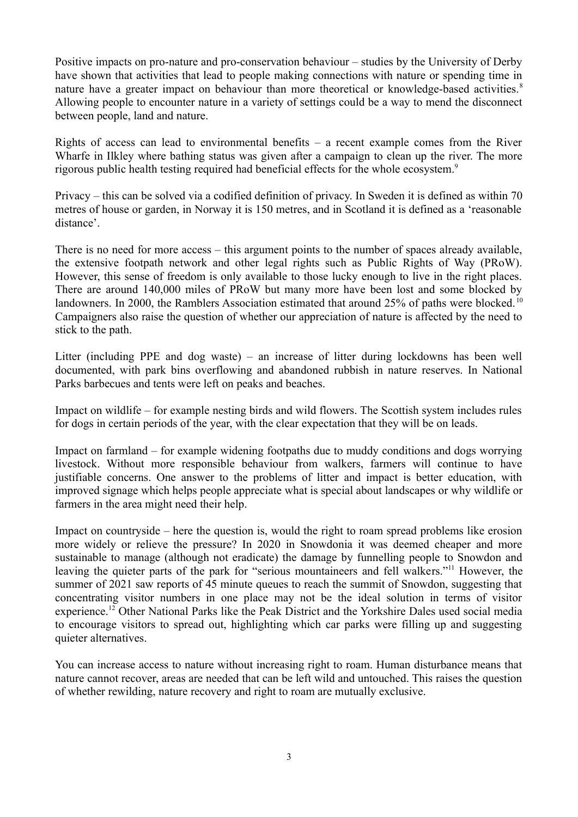Positive impacts on pro-nature and pro-conservation behaviour – studies by the University of Derby have shown that activities that lead to people making connections with nature or spending time in nature have a greater impact on behaviour than more theoretical or knowledge-based activities.<sup>8</sup> Allowing people to encounter nature in a variety of settings could be a way to mend the disconnect between people, land and nature.

Rights of access can lead to environmental benefits – a recent example comes from the River Wharfe in Ilkley where bathing status was given after a campaign to clean up the river. The more rigorous public health testing required had beneficial effects for the whole ecosystem.<sup>9</sup>

Privacy – this can be solved via a codified definition of privacy. In Sweden it is defined as within 70 metres of house or garden, in Norway it is 150 metres, and in Scotland it is defined as a 'reasonable distance'.

There is no need for more access – this argument points to the number of spaces already available, the extensive footpath network and other legal rights such as Public Rights of Way (PRoW). However, this sense of freedom is only available to those lucky enough to live in the right places. There are around 140,000 miles of PRoW but many more have been lost and some blocked by landowners. In 2000, the Ramblers Association estimated that around 25% of paths were blocked.<sup>10</sup> Campaigners also raise the question of whether our appreciation of nature is affected by the need to stick to the path.

Litter (including PPE and dog waste) – an increase of litter during lockdowns has been well documented, with park bins overflowing and abandoned rubbish in nature reserves. In National Parks barbecues and tents were left on peaks and beaches.

Impact on wildlife – for example nesting birds and wild flowers. The Scottish system includes rules for dogs in certain periods of the year, with the clear expectation that they will be on leads.

Impact on farmland – for example widening footpaths due to muddy conditions and dogs worrying livestock. Without more responsible behaviour from walkers, farmers will continue to have justifiable concerns. One answer to the problems of litter and impact is better education, with improved signage which helps people appreciate what is special about landscapes or why wildlife or farmers in the area might need their help.

Impact on countryside – here the question is, would the right to roam spread problems like erosion more widely or relieve the pressure? In 2020 in Snowdonia it was deemed cheaper and more sustainable to manage (although not eradicate) the damage by funnelling people to Snowdon and leaving the quieter parts of the park for "serious mountaineers and fell walkers."<sup>11</sup> However, the summer of 2021 saw reports of 45 minute queues to reach the summit of Snowdon, suggesting that concentrating visitor numbers in one place may not be the ideal solution in terms of visitor experience.<sup>12</sup> Other National Parks like the Peak District and the Yorkshire Dales used social media to encourage visitors to spread out, highlighting which car parks were filling up and suggesting quieter alternatives.

You can increase access to nature without increasing right to roam. Human disturbance means that nature cannot recover, areas are needed that can be left wild and untouched. This raises the question of whether rewilding, nature recovery and right to roam are mutually exclusive.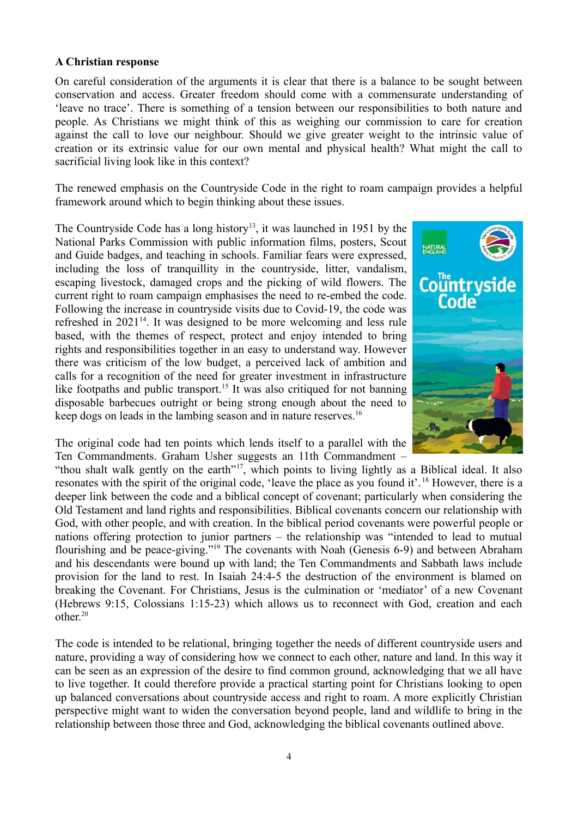#### **A Christian response**

On careful consideration of the arguments it is clear that there is a balance to be sought between conservation and access. Greater freedom should come with a commensurate understanding of 'leave no trace'. There is something of a tension between our responsibilities to both nature and people. As Christians we might think of this as weighing our commission to care for creation against the call to love our neighbour. Should we give greater weight to the intrinsic value of creation or its extrinsic value for our own mental and physical health? What might the call to sacrificial living look like in this context?

The renewed emphasis on the Countryside Code in the right to roam campaign provides a helpful framework around which to begin thinking about these issues.

The Countryside Code has a long history<sup>13</sup>, it was launched in 1951 by the National Parks Commission with public information films, posters, Scout and Guide badges, and teaching in schools. Familiar fears were expressed, including the loss of tranquillity in the countryside, litter, vandalism, escaping livestock, damaged crops and the picking of wild flowers. The current right to roam campaign emphasises the need to re-embed the code. Following the increase in countryside visits due to Covid-19, the code was refreshed in  $2021<sup>14</sup>$ . It was designed to be more welcoming and less rule based, with the themes of respect, protect and enjoy intended to bring rights and responsibilities together in an easy to understand way. However there was criticism of the low budget, a perceived lack of ambition and calls for a recognition of the need for greater investment in infrastructure like footpaths and public transport.<sup>15</sup> It was also critiqued for not banning disposable barbecues outright or being strong enough about the need to keep dogs on leads in the lambing season and in nature reserves.<sup>16</sup>



The original code had ten points which lends itself to a parallel with the Ten Commandments. Graham Usher suggests an 11th Commandment –

"thou shalt walk gently on the earth"<sup>17</sup>, which points to living lightly as a Biblical ideal. It also resonates with the spirit of the original code, 'leave the place as you found it'. <sup>18</sup> However, there is a deeper link between the code and a biblical concept of covenant; particularly when considering the Old Testament and land rights and responsibilities. Biblical covenants concern our relationship with God, with other people, and with creation. In the biblical period covenants were powerful people or nations offering protection to junior partners – the relationship was "intended to lead to mutual flourishing and be peace-giving."<sup>19</sup> The covenants with Noah (Genesis 6-9) and between Abraham and his descendants were bound up with land; the Ten Commandments and Sabbath laws include provision for the land to rest. In Isaiah 24:4-5 the destruction of the environment is blamed on breaking the Covenant. For Christians, Jesus is the culmination or 'mediator' of a new Covenant (Hebrews 9:15, Colossians 1:15-23) which allows us to reconnect with God, creation and each other $20$ 

The code is intended to be relational, bringing together the needs of different countryside users and nature, providing a way of considering how we connect to each other, nature and land. In this way it can be seen as an expression of the desire to find common ground, acknowledging that we all have to live together. It could therefore provide a practical starting point for Christians looking to open up balanced conversations about countryside access and right to roam. A more explicitly Christian perspective might want to widen the conversation beyond people, land and wildlife to bring in the relationship between those three and God, acknowledging the biblical covenants outlined above.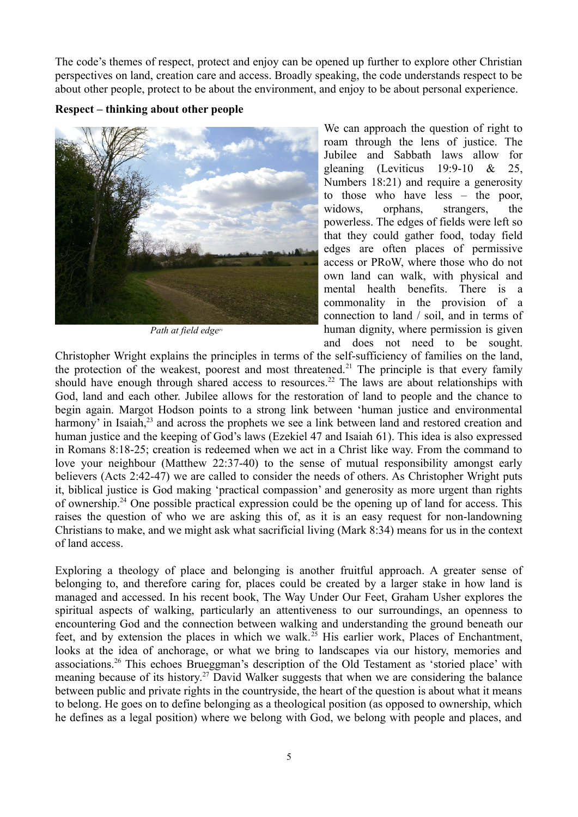The code's themes of respect, protect and enjoy can be opened up further to explore other Christian perspectives on land, creation care and access. Broadly speaking, the code understands respect to be about other people, protect to be about the environment, and enjoy to be about personal experience.

#### **Respect – thinking about other people**



*Path at field edgeP3*

We can approach the question of right to roam through the lens of justice. The Jubilee and Sabbath laws allow for gleaning (Leviticus 19:9-10 & 25, Numbers 18:21) and require a generosity to those who have less – the poor, widows, orphans, strangers, the powerless. The edges of fields were left so that they could gather food, today field edges are often places of permissive access or PRoW, where those who do not own land can walk, with physical and mental health benefits. There is a commonality in the provision of a connection to land / soil, and in terms of human dignity, where permission is given and does not need to be sought.

Christopher Wright explains the principles in terms of the self-sufficiency of families on the land, the protection of the weakest, poorest and most threatened.<sup>21</sup> The principle is that every family should have enough through shared access to resources.<sup>22</sup> The laws are about relationships with God, land and each other. Jubilee allows for the restoration of land to people and the chance to begin again. Margot Hodson points to a strong link between 'human justice and environmental harmony' in Isaiah,<sup>23</sup> and across the prophets we see a link between land and restored creation and human justice and the keeping of God's laws (Ezekiel 47 and Isaiah 61). This idea is also expressed in Romans 8:18-25; creation is redeemed when we act in a Christ like way. From the command to love your neighbour (Matthew 22:37-40) to the sense of mutual responsibility amongst early believers (Acts 2:42-47) we are called to consider the needs of others. As Christopher Wright puts it, biblical justice is God making 'practical compassion' and generosity as more urgent than rights of ownership.<sup>24</sup> One possible practical expression could be the opening up of land for access. This raises the question of who we are asking this of, as it is an easy request for non-landowning Christians to make, and we might ask what sacrificial living (Mark 8:34) means for us in the context of land access.

Exploring a theology of place and belonging is another fruitful approach. A greater sense of belonging to, and therefore caring for, places could be created by a larger stake in how land is managed and accessed. In his recent book, The Way Under Our Feet, Graham Usher explores the spiritual aspects of walking, particularly an attentiveness to our surroundings, an openness to encountering God and the connection between walking and understanding the ground beneath our feet, and by extension the places in which we walk.<sup>25</sup> His earlier work, Places of Enchantment, looks at the idea of anchorage, or what we bring to landscapes via our history, memories and associations.<sup>26</sup> This echoes Brueggman's description of the Old Testament as 'storied place' with meaning because of its history.<sup>27</sup> David Walker suggests that when we are considering the balance between public and private rights in the countryside, the heart of the question is about what it means to belong. He goes on to define belonging as a theological position (as opposed to ownership, which he defines as a legal position) where we belong with God, we belong with people and places, and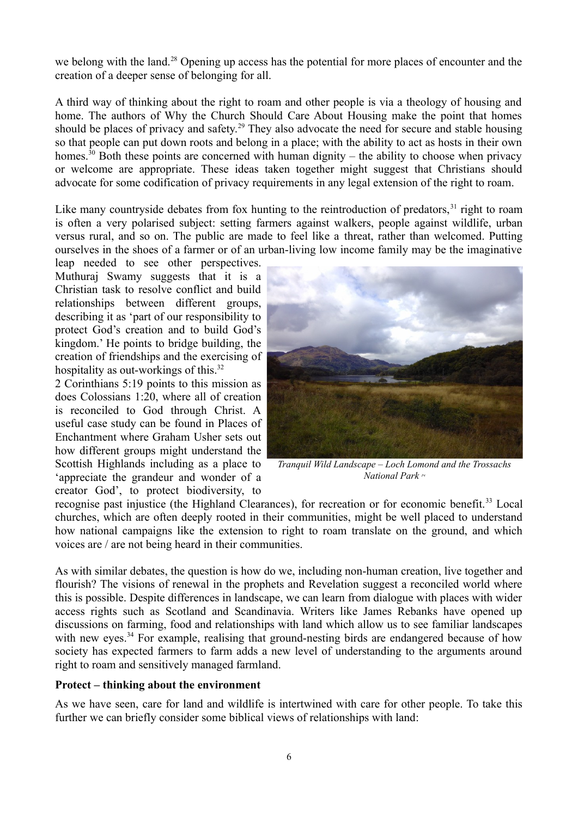we belong with the land.<sup>28</sup> Opening up access has the potential for more places of encounter and the creation of a deeper sense of belonging for all.

A third way of thinking about the right to roam and other people is via a theology of housing and home. The authors of Why the Church Should Care About Housing make the point that homes should be places of privacy and safety.<sup>29</sup> They also advocate the need for secure and stable housing so that people can put down roots and belong in a place; with the ability to act as hosts in their own homes.<sup>30</sup> Both these points are concerned with human dignity – the ability to choose when privacy or welcome are appropriate. These ideas taken together might suggest that Christians should advocate for some codification of privacy requirements in any legal extension of the right to roam.

Like many countryside debates from fox hunting to the reintroduction of predators,  $31$  right to roam is often a very polarised subject: setting farmers against walkers, people against wildlife, urban versus rural, and so on. The public are made to feel like a threat, rather than welcomed. Putting ourselves in the shoes of a farmer or of an urban-living low income family may be the imaginative

leap needed to see other perspectives. Muthuraj Swamy suggests that it is a Christian task to resolve conflict and build relationships between different groups, describing it as 'part of our responsibility to protect God's creation and to build God's kingdom.' He points to bridge building, the creation of friendships and the exercising of hospitality as out-workings of this.<sup>32</sup>

2 Corinthians 5:19 points to this mission as does Colossians 1:20, where all of creation is reconciled to God through Christ. A useful case study can be found in Places of Enchantment where Graham Usher sets out how different groups might understand the Scottish Highlands including as a place to 'appreciate the grandeur and wonder of a creator God', to protect biodiversity, to



*Tranquil Wild Landscape – Loch Lomond and the Trossachs National Park P4*

recognise past injustice (the Highland Clearances), for recreation or for economic benefit.<sup>33</sup> Local churches, which are often deeply rooted in their communities, might be well placed to understand how national campaigns like the extension to right to roam translate on the ground, and which voices are / are not being heard in their communities.

As with similar debates, the question is how do we, including non-human creation, live together and flourish? The visions of renewal in the prophets and Revelation suggest a reconciled world where this is possible. Despite differences in landscape, we can learn from dialogue with places with wider access rights such as Scotland and Scandinavia. Writers like James Rebanks have opened up discussions on farming, food and relationships with land which allow us to see familiar landscapes with new eyes.<sup>34</sup> For example, realising that ground-nesting birds are endangered because of how society has expected farmers to farm adds a new level of understanding to the arguments around right to roam and sensitively managed farmland.

#### **Protect – thinking about the environment**

As we have seen, care for land and wildlife is intertwined with care for other people. To take this further we can briefly consider some biblical views of relationships with land: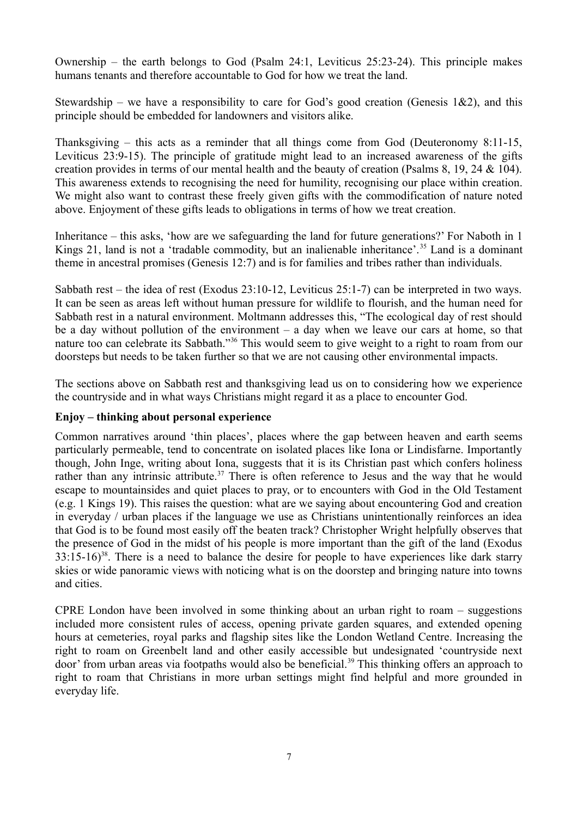Ownership – the earth belongs to God (Psalm 24:1, Leviticus 25:23-24). This principle makes humans tenants and therefore accountable to God for how we treat the land.

Stewardship – we have a responsibility to care for God's good creation (Genesis 1&2), and this principle should be embedded for landowners and visitors alike.

Thanksgiving – this acts as a reminder that all things come from God (Deuteronomy 8:11-15, Leviticus 23:9-15). The principle of gratitude might lead to an increased awareness of the gifts creation provides in terms of our mental health and the beauty of creation (Psalms 8, 19, 24 & 104). This awareness extends to recognising the need for humility, recognising our place within creation. We might also want to contrast these freely given gifts with the commodification of nature noted above. Enjoyment of these gifts leads to obligations in terms of how we treat creation.

Inheritance – this asks, 'how are we safeguarding the land for future generations?' For Naboth in 1 Kings 21, land is not a 'tradable commodity, but an inalienable inheritance'.<sup>35</sup> Land is a dominant theme in ancestral promises (Genesis 12:7) and is for families and tribes rather than individuals.

Sabbath rest – the idea of rest (Exodus 23:10-12, Leviticus 25:1-7) can be interpreted in two ways. It can be seen as areas left without human pressure for wildlife to flourish, and the human need for Sabbath rest in a natural environment. Moltmann addresses this, "The ecological day of rest should be a day without pollution of the environment  $-$  a day when we leave our cars at home, so that nature too can celebrate its Sabbath."<sup>36</sup> This would seem to give weight to a right to roam from our doorsteps but needs to be taken further so that we are not causing other environmental impacts.

The sections above on Sabbath rest and thanksgiving lead us on to considering how we experience the countryside and in what ways Christians might regard it as a place to encounter God.

## **Enjoy – thinking about personal experience**

Common narratives around 'thin places', places where the gap between heaven and earth seems particularly permeable, tend to concentrate on isolated places like Iona or Lindisfarne. Importantly though, John Inge, writing about Iona, suggests that it is its Christian past which confers holiness rather than any intrinsic attribute.<sup>37</sup> There is often reference to Jesus and the way that he would escape to mountainsides and quiet places to pray, or to encounters with God in the Old Testament (e.g. 1 Kings 19). This raises the question: what are we saying about encountering God and creation in everyday / urban places if the language we use as Christians unintentionally reinforces an idea that God is to be found most easily off the beaten track? Christopher Wright helpfully observes that the presence of God in the midst of his people is more important than the gift of the land (Exodus  $33:15-16$ <sup>38</sup>. There is a need to balance the desire for people to have experiences like dark starry skies or wide panoramic views with noticing what is on the doorstep and bringing nature into towns and cities.

CPRE London have been involved in some thinking about an urban right to roam – suggestions included more consistent rules of access, opening private garden squares, and extended opening hours at cemeteries, royal parks and flagship sites like the London Wetland Centre. Increasing the right to roam on Greenbelt land and other easily accessible but undesignated 'countryside next door' from urban areas via footpaths would also be beneficial.<sup>39</sup> This thinking offers an approach to right to roam that Christians in more urban settings might find helpful and more grounded in everyday life.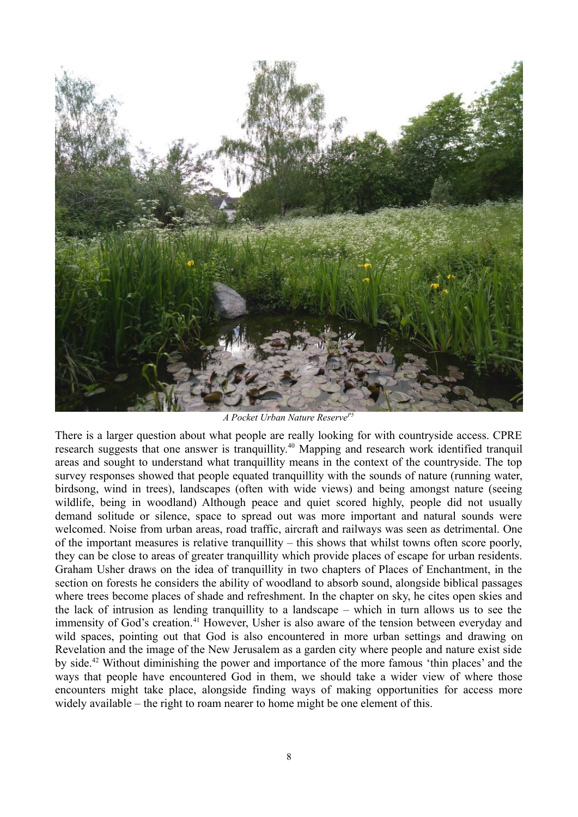

*A Pocket Urban Nature ReserveP5*

There is a larger question about what people are really looking for with countryside access. CPRE research suggests that one answer is tranquillity.<sup>40</sup> Mapping and research work identified tranquil areas and sought to understand what tranquillity means in the context of the countryside. The top survey responses showed that people equated tranquillity with the sounds of nature (running water, birdsong, wind in trees), landscapes (often with wide views) and being amongst nature (seeing wildlife, being in woodland) Although peace and quiet scored highly, people did not usually demand solitude or silence, space to spread out was more important and natural sounds were welcomed. Noise from urban areas, road traffic, aircraft and railways was seen as detrimental. One of the important measures is relative tranquillity – this shows that whilst towns often score poorly, they can be close to areas of greater tranquillity which provide places of escape for urban residents. Graham Usher draws on the idea of tranquillity in two chapters of Places of Enchantment, in the section on forests he considers the ability of woodland to absorb sound, alongside biblical passages where trees become places of shade and refreshment. In the chapter on sky, he cites open skies and the lack of intrusion as lending tranquillity to a landscape – which in turn allows us to see the immensity of God's creation.<sup>41</sup> However, Usher is also aware of the tension between everyday and wild spaces, pointing out that God is also encountered in more urban settings and drawing on Revelation and the image of the New Jerusalem as a garden city where people and nature exist side by side.<sup>42</sup> Without diminishing the power and importance of the more famous 'thin places' and the ways that people have encountered God in them, we should take a wider view of where those encounters might take place, alongside finding ways of making opportunities for access more widely available – the right to roam nearer to home might be one element of this.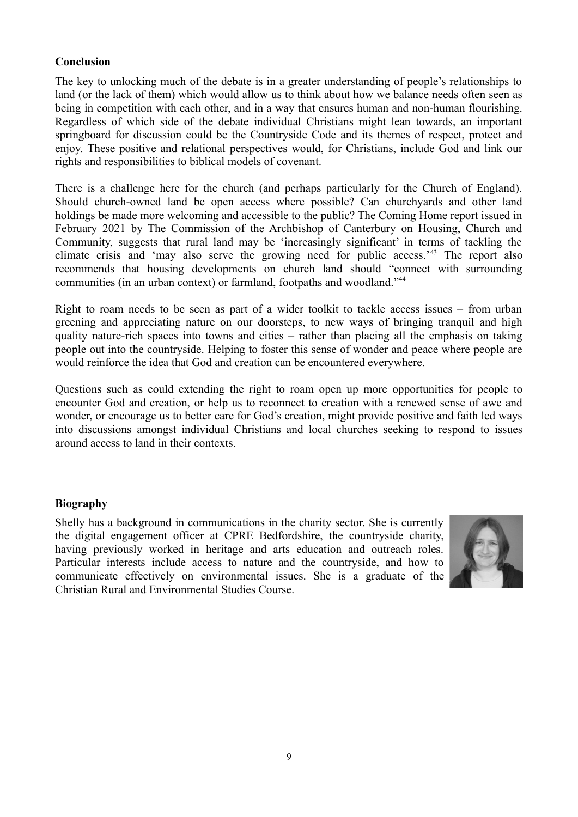#### **Conclusion**

The key to unlocking much of the debate is in a greater understanding of people's relationships to land (or the lack of them) which would allow us to think about how we balance needs often seen as being in competition with each other, and in a way that ensures human and non-human flourishing. Regardless of which side of the debate individual Christians might lean towards, an important springboard for discussion could be the Countryside Code and its themes of respect, protect and enjoy. These positive and relational perspectives would, for Christians, include God and link our rights and responsibilities to biblical models of covenant.

There is a challenge here for the church (and perhaps particularly for the Church of England). Should church-owned land be open access where possible? Can churchyards and other land holdings be made more welcoming and accessible to the public? The Coming Home report issued in February 2021 by The Commission of the Archbishop of Canterbury on Housing, Church and Community, suggests that rural land may be 'increasingly significant' in terms of tackling the climate crisis and 'may also serve the growing need for public access.'<sup>43</sup> The report also recommends that housing developments on church land should "connect with surrounding communities (in an urban context) or farmland, footpaths and woodland."<sup>44</sup>

Right to roam needs to be seen as part of a wider toolkit to tackle access issues – from urban greening and appreciating nature on our doorsteps, to new ways of bringing tranquil and high quality nature-rich spaces into towns and cities – rather than placing all the emphasis on taking people out into the countryside. Helping to foster this sense of wonder and peace where people are would reinforce the idea that God and creation can be encountered everywhere.

Questions such as could extending the right to roam open up more opportunities for people to encounter God and creation, or help us to reconnect to creation with a renewed sense of awe and wonder, or encourage us to better care for God's creation, might provide positive and faith led ways into discussions amongst individual Christians and local churches seeking to respond to issues around access to land in their contexts.

## **Biography**

Shelly has a background in communications in the charity sector. She is currently the digital engagement officer at CPRE Bedfordshire, the countryside charity, having previously worked in heritage and arts education and outreach roles. Particular interests include access to nature and the countryside, and how to communicate effectively on environmental issues. She is a graduate of the Christian Rural and Environmental Studies Course.

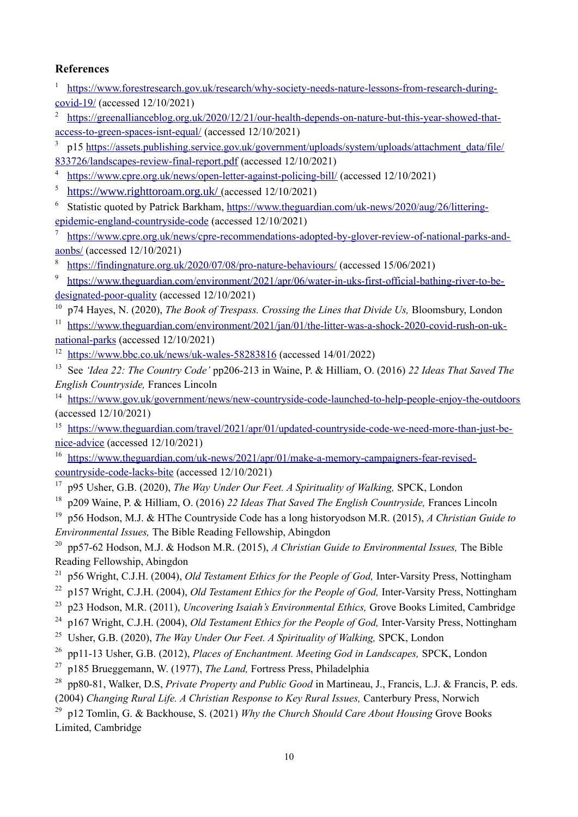## **References**

<sup>1</sup> [https://www.forestresearch.gov.uk/research/why-society-needs-nature-lessons-from-research-during](https://www.forestresearch.gov.uk/research/why-society-needs-nature-lessons-from-research-during-covid-19/)[covid-19/](https://www.forestresearch.gov.uk/research/why-society-needs-nature-lessons-from-research-during-covid-19/) (accessed 12/10/2021)

2 [https://greenallianceblog.org.uk/2020/12/21/our-health-depends-on-nature-but-this-year-showed-that](https://greenallianceblog.org.uk/2020/12/21/our-health-depends-on-nature-but-this-year-showed-that-access-to-green-spaces-isnt-equal/)[access-to-green-spaces-isnt-equal/](https://greenallianceblog.org.uk/2020/12/21/our-health-depends-on-nature-but-this-year-showed-that-access-to-green-spaces-isnt-equal/) (accessed 12/10/2021)

3 p15 [https://assets.publishing.service.gov.uk/government/uploads/system/uploads/attachment\\_data/file/](https://assets.publishing.service.gov.uk/government/uploads/system/uploads/attachment_data/file/833726/landscapes-review-final-report.pdf) [833726/landscapes-review-final-report.pdf](https://assets.publishing.service.gov.uk/government/uploads/system/uploads/attachment_data/file/833726/landscapes-review-final-report.pdf) (accessed 12/10/2021)

4 <https://www.cpre.org.uk/news/open-letter-against-policing-bill/>(accessed 12/10/2021)

5 https://www.righttoroam.org.uk/ (accessed 12/10/2021)

<sup>6</sup> Statistic quoted by Patrick Barkham, [https://www.theguardian.com/uk-news/2020/aug/26/littering](https://www.theguardian.com/uk-news/2020/aug/26/littering-epidemic-england-countryside-code)[epidemic-england-countryside-code](https://www.theguardian.com/uk-news/2020/aug/26/littering-epidemic-england-countryside-code) (accessed 12/10/2021)

7 [https://www.cpre.org.uk/news/cpre-recommendations-adopted-by-glover-review-of-national-parks-and](https://www.cpre.org.uk/news/cpre-recommendations-adopted-by-glover-review-of-national-parks-and-aonbs/)[aonbs/](https://www.cpre.org.uk/news/cpre-recommendations-adopted-by-glover-review-of-national-parks-and-aonbs/) (accessed 12/10/2021)

8 <https://findingnature.org.uk/2020/07/08/pro-nature-behaviours/> (accessed 15/06/2021)

9 [https://www.theguardian.com/environment/2021/apr/06/water-in-uks-first-official-bathing-river-to-be](https://www.theguardian.com/environment/2021/apr/06/water-in-uks-first-official-bathing-river-to-be-designated-poor-quality)[designated-poor-quality](https://www.theguardian.com/environment/2021/apr/06/water-in-uks-first-official-bathing-river-to-be-designated-poor-quality) (accessed 12/10/2021)

<sup>10</sup> p74 Hayes, N. (2020), *The Book of Trespass. Crossing the Lines that Divide Us*, Bloomsbury, London

<sup>11</sup> [https://www.theguardian.com/environment/2021/jan/01/the-litter-was-a-shock-2020-covid-rush-on-uk](https://www.theguardian.com/environment/2021/jan/01/the-litter-was-a-shock-2020-covid-rush-on-uk-national-parks)[national-parks](https://www.theguardian.com/environment/2021/jan/01/the-litter-was-a-shock-2020-covid-rush-on-uk-national-parks) (accessed 12/10/2021)

<sup>12</sup> <https://www.bbc.co.uk/news/uk-wales-58283816> (accessed 14/01/2022)

13 See *'Idea 22: The Country Code'* pp206-213 in Waine, P. & Hilliam, O. (2016) *22 Ideas That Saved The English Countryside,* Frances Lincoln

<sup>14</sup> <https://www.gov.uk/government/news/new-countryside-code-launched-to-help-people-enjoy-the-outdoors> (accessed 12/10/2021)

<sup>15</sup> [https://www.theguardian.com/travel/2021/apr/01/updated-countryside-code-we-need-more-than-just-be](https://www.theguardian.com/travel/2021/apr/01/updated-countryside-code-we-need-more-than-just-be-nice-advice)[nice-advice](https://www.theguardian.com/travel/2021/apr/01/updated-countryside-code-we-need-more-than-just-be-nice-advice) (accessed 12/10/2021)

<sup>16</sup> [https://www.theguardian.com/uk-news/2021/apr/01/make-a-memory-campaigners-fear-revised](https://www.theguardian.com/uk-news/2021/apr/01/make-a-memory-campaigners-fear-revised-countryside-code-lacks-bite)[countryside-code-lacks-bite](https://www.theguardian.com/uk-news/2021/apr/01/make-a-memory-campaigners-fear-revised-countryside-code-lacks-bite) (accessed 12/10/2021)

<sup>17</sup> p95 Usher, G.B. (2020), *The Way Under Our Feet. A Spirituality of Walking*, SPCK, London

- 18 p209 Waine, P. & Hilliam, O. (2016) *22 Ideas That Saved The English Countryside,* Frances Lincoln
- 19 p56 Hodson, M.J. & HThe Countryside Code has a long historyodson M.R. (2015), *A Christian Guide to Environmental Issues,* The Bible Reading Fellowship, Abingdon

20 pp57-62 Hodson, M.J. & Hodson M.R. (2015), *A Christian Guide to Environmental Issues,* The Bible Reading Fellowship, Abingdon

21 p56 Wright, C.J.H. (2004), *Old Testament Ethics for the People of God,* Inter-Varsity Press, Nottingham

22 p157 Wright, C.J.H. (2004), *Old Testament Ethics for the People of God,* Inter-Varsity Press, Nottingham

23 p23 Hodson, M.R. (2011), *Uncovering Isaiah's Environmental Ethics,* Grove Books Limited, Cambridge

24 p167 Wright, C.J.H. (2004), *Old Testament Ethics for the People of God,* Inter-Varsity Press, Nottingham

- 25 Usher, G.B. (2020), *The Way Under Our Feet. A Spirituality of Walking,* SPCK, London
- 26 pp11-13 Usher, G.B. (2012), *Places of Enchantment. Meeting God in Landscapes,* SPCK, London

27 p185 Brueggemann, W. (1977), *The Land,* Fortress Press, Philadelphia

28 pp80-81, Walker, D.S, *Private Property and Public Good* in Martineau, J., Francis, L.J. & Francis, P. eds. (2004) *Changing Rural Life. A Christian Response to Key Rural Issues,* Canterbury Press, Norwich

29 p12 Tomlin, G. & Backhouse, S. (2021) *Why the Church Should Care About Housing* Grove Books Limited, Cambridge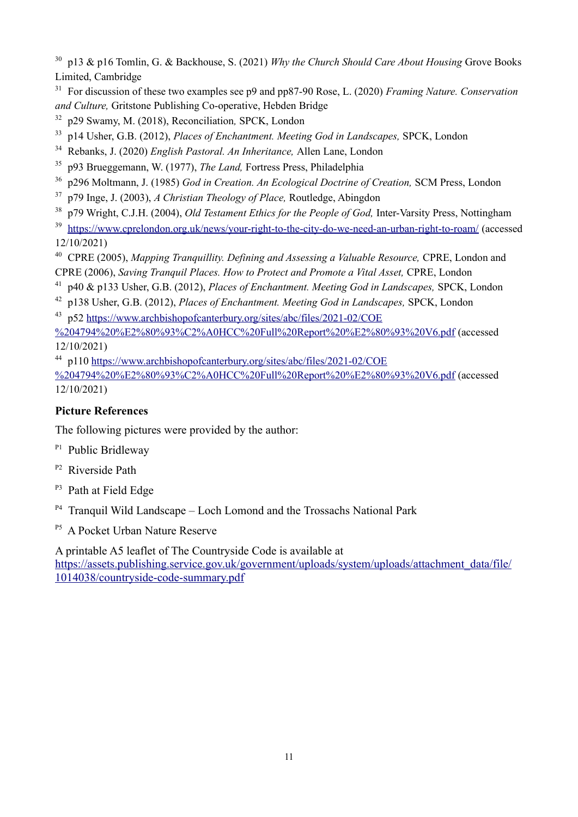30 p13 & p16 Tomlin, G. & Backhouse, S. (2021) *Why the Church Should Care About Housing* Grove Books Limited, Cambridge

31 For discussion of these two examples see p9 and pp87-90 Rose, L. (2020) *Framing Nature. Conservation and Culture,* Gritstone Publishing Co-operative, Hebden Bridge

- 32 p29 Swamy, M. (2018), Reconciliation*,* SPCK, London
- 33 p14 Usher, G.B. (2012), *Places of Enchantment. Meeting God in Landscapes,* SPCK, London
- 34 Rebanks, J. (2020) *English Pastoral. An Inheritance,* Allen Lane, London
- 35 p93 Brueggemann, W. (1977), *The Land,* Fortress Press, Philadelphia
- 36 p296 Moltmann, J. (1985) *God in Creation. An Ecological Doctrine of Creation,* SCM Press, London
- 37 p79 Inge, J. (2003), *A Christian Theology of Place,* Routledge, Abingdon
- 38 p79 Wright, C.J.H. (2004), *Old Testament Ethics for the People of God,* Inter-Varsity Press, Nottingham
- <sup>39</sup> <https://www.cprelondon.org.uk/news/your-right-to-the-city-do-we-need-an-urban-right-to-roam/>(accessed 12/10/2021)

<sup>40</sup> CPRE (2005), *Mapping Tranquillity. Defining and Assessing a Valuable Resource, CPRE, London and* CPRE (2006), *Saving Tranquil Places. How to Protect and Promote a Vital Asset,* CPRE, London

- 41 p40 & p133 Usher, G.B. (2012), *Places of Enchantment. Meeting God in Landscapes,* SPCK, London
- 42 p138 Usher, G.B. (2012), *Places of Enchantment. Meeting God in Landscapes,* SPCK, London
- <sup>43</sup> p52 [https://www.archbishopofcanterbury.org/sites/abc/files/2021-02/COE](https://www.archbishopofcanterbury.org/sites/abc/files/2021-02/COE%204794%20%E2%80%93%C2%A0HCC%20Full%20Report%20%E2%80%93%20V6.pdf)

[%204794%20%E2%80%93%C2%A0HCC%20Full%20Report%20%E2%80%93%20V6.pdf](https://www.archbishopofcanterbury.org/sites/abc/files/2021-02/COE%204794%20%E2%80%93%C2%A0HCC%20Full%20Report%20%E2%80%93%20V6.pdf) (accessed 12/10/2021)

<sup>44</sup> p110 [https://www.archbishopofcanterbury.org/sites/abc/files/2021-02/COE](https://www.archbishopofcanterbury.org/sites/abc/files/2021-02/COE%204794%20%E2%80%93%C2%A0HCC%20Full%20Report%20%E2%80%93%20V6.pdf)

[%204794%20%E2%80%93%C2%A0HCC%20Full%20Report%20%E2%80%93%20V6.pdf](https://www.archbishopofcanterbury.org/sites/abc/files/2021-02/COE%204794%20%E2%80%93%C2%A0HCC%20Full%20Report%20%E2%80%93%20V6.pdf) (accessed 12/10/2021)

# **Picture References**

The following pictures were provided by the author:

- <sup>P1</sup> Public Bridleway
- <sup>P2</sup> Riverside Path
- <sup>P3</sup> Path at Field Edge
- $P<sup>4</sup>$  Tranquil Wild Landscape Loch Lomond and the Trossachs National Park
- <sup>P5</sup> A Pocket Urban Nature Reserve

A printable A5 leaflet of The Countryside Code is available at [https://assets.publishing.service.gov.uk/government/uploads/system/uploads/attachment\\_data/file/](https://assets.publishing.service.gov.uk/government/uploads/system/uploads/attachment_data/file/1014038/countryside-code-summary.pdf) [1014038/countryside-code-summary.pdf](https://assets.publishing.service.gov.uk/government/uploads/system/uploads/attachment_data/file/1014038/countryside-code-summary.pdf)